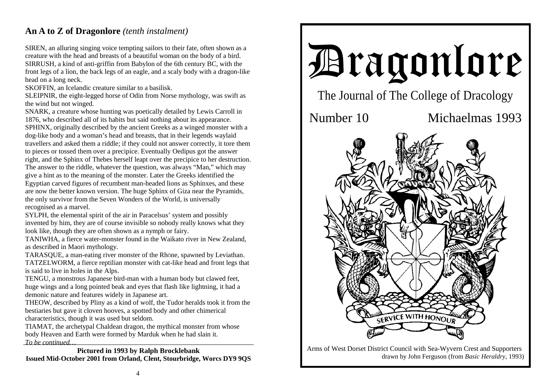## **An A to Z of Dragonlore** *(tenth instalment)*

SIREN, an alluring singing voice tempting sailors to their fate, often shown as a creature with the head and breasts of a beautiful woman on the body of a bird. SIRRUSH, a kind of anti-griffin from Babylon of the 6th century BC, with the front legs of a lion, the back legs of an eagle, and a scaly body with a dragon-like head on a long neck.

SKOFFIN, an Icelandic creature similar to a basilisk.

SLEIPNIR, the eight-legged horse of Odin from Norse mythology, was swift as the wind but not winged.

SNARK, a creature whose hunting was poetically detailed by Lewis Carroll in 1876, who described all of its habits but said nothing about its appearance. SPHINX, originally described by the ancient Greeks as a winged monster with a dog-like body and a woman's head and breasts, that in their legends waylaid travellers and asked them a riddle; if they could not answer correctly, it tore them to pieces or tossed them over a precipice. Eventually Oedipus got the answer right, and the Sphinx of Thebes herself leapt over the precipice to her destruction. The answer to the riddle, whatever the question, was always "Man," which may give a hint as to the meaning of the monster. Later the Greeks identified the Egyptian carved figures of recumbent man-headed lions as Sphinxes, and these are now the better known version. The huge Sphinx of Giza near the Pyramids, the only survivor from the Seven Wonders of the World, is universally recognised as a marvel.

SYLPH, the elemental spirit of the air in Paracelsus' system and possibly invented by him, they are of course invisible so nobody really knows what they look like, though they are often shown as a nymph or fairy.

TANIWHA, a fierce water-monster found in the Waikato river in New Zealand, as described in Maori mythology.

TARASQUE, a man-eating river monster of the Rhône, spawned by Leviathan. TATZELWORM, a fierce reptilian monster with cat-like head and front legs that is said to live in holes in the Alps.

TENGU, a monstrous Japanese bird-man with a human body but clawed feet, huge wings and a long pointed beak and eyes that flash like lightning, it had a demonic nature and features widely in Japanese art.

THEOW, described by Pliny as a kind of wolf, the Tudor heralds took it from the bestiaries but gave it cloven hooves, a spotted body and other chimerical characteristics, though it was used but seldom.

TIAMAT, the archetypal Chaldean dragon, the mythical monster from whose body Heaven and Earth were formed by Marduk when he had slain it. *To be continued…* 

**Pictured in 1993 by Ralph Brocklebank Issued Mid-October 2001 from Orland, Clent, Stourbridge, Worcs DY9 9QS** 



Arms of West Dorset District Council with Sea-Wyvern Crest and Supporters drawn by John Ferguson (from *Basic Heraldry*, 1993)